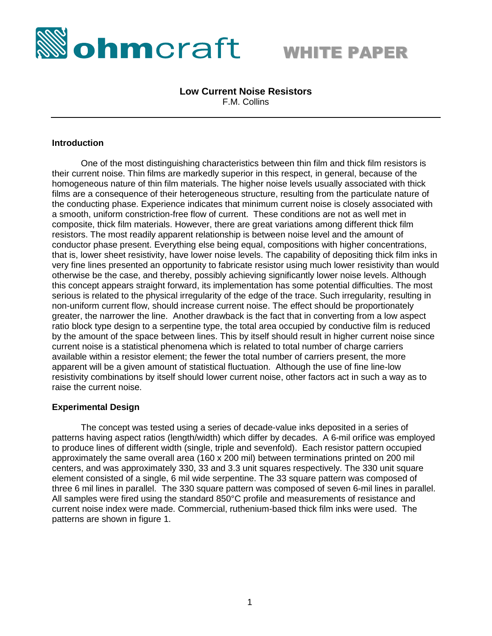



# **Low Current Noise Resistors**

F.M. Collins

#### **Introduction**

One of the most distinguishing characteristics between thin film and thick film resistors is their current noise. Thin films are markedly superior in this respect, in general, because of the homogeneous nature of thin film materials. The higher noise levels usually associated with thick films are a consequence of their heterogeneous structure, resulting from the particulate nature of the conducting phase. Experience indicates that minimum current noise is closely associated with a smooth, uniform constriction-free flow of current. These conditions are not as well met in composite, thick film materials. However, there are great variations among different thick film resistors. The most readily apparent relationship is between noise level and the amount of conductor phase present. Everything else being equal, compositions with higher concentrations, that is, lower sheet resistivity, have lower noise levels. The capability of depositing thick film inks in very fine lines presented an opportunity to fabricate resistor using much lower resistivity than would otherwise be the case, and thereby, possibly achieving significantly lower noise levels. Although this concept appears straight forward, its implementation has some potential difficulties. The most serious is related to the physical irregularity of the edge of the trace. Such irregularity, resulting in non-uniform current flow, should increase current noise. The effect should be proportionately greater, the narrower the line. Another drawback is the fact that in converting from a low aspect ratio block type design to a serpentine type, the total area occupied by conductive film is reduced by the amount of the space between lines. This by itself should result in higher current noise since current noise is a statistical phenomena which is related to total number of charge carriers available within a resistor element; the fewer the total number of carriers present, the more apparent will be a given amount of statistical fluctuation. Although the use of fine line-low resistivity combinations by itself should lower current noise, other factors act in such a way as to raise the current noise.

## **Experimental Design**

The concept was tested using a series of decade-value inks deposited in a series of patterns having aspect ratios (length/width) which differ by decades. A 6-mil orifice was employed to produce lines of different width (single, triple and sevenfold). Each resistor pattern occupied approximately the same overall area (160 x 200 mil) between terminations printed on 200 mil centers, and was approximately 330, 33 and 3.3 unit squares respectively. The 330 unit square element consisted of a single, 6 mil wide serpentine. The 33 square pattern was composed of three 6 mil lines in parallel. The 330 square pattern was composed of seven 6-mil lines in parallel. All samples were fired using the standard 850°C profile and measurements of resistance and current noise index were made. Commercial, ruthenium-based thick film inks were used. The patterns are shown in figure 1.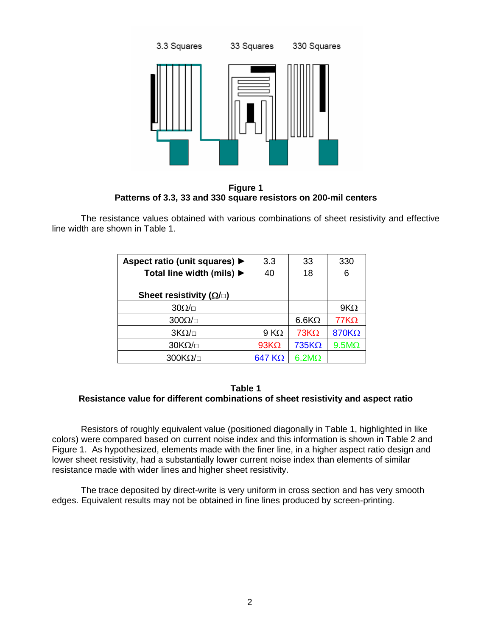

**Figure 1 Patterns of 3.3, 33 and 330 square resistors on 200-mil centers**

The resistance values obtained with various combinations of sheet resistivity and effective line width are shown in Table 1.

| Aspect ratio (unit squares) ▶                 | 3.3            | 33           | 330          |
|-----------------------------------------------|----------------|--------------|--------------|
| Total line width (mils) $\blacktriangleright$ | 40             | 18           | 6            |
| Sheet resistivity ( $\Omega/\Box$ )           |                |              |              |
|                                               |                |              |              |
| $30\Omega/\Box$                               |                |              | $9K\Omega$   |
| $300\Omega/\Box$                              |                | $6.6K\Omega$ | $77K\Omega$  |
| $3K\Omega/\Box$                               | $9 K\Omega$    | $73K\Omega$  | 870KΩ        |
| $30K\Omega/\Box$                              | $93K\Omega$    | $735K\Omega$ | $9.5M\Omega$ |
| $300K\Omega/\Box$                             | 647 K $\Omega$ | $6.2M\Omega$ |              |

**Table 1 Resistance value for different combinations of sheet resistivity and aspect ratio**

Resistors of roughly equivalent value (positioned diagonally in Table 1, highlighted in like colors) were compared based on current noise index and this information is shown in Table 2 and Figure 1. As hypothesized, elements made with the finer line, in a higher aspect ratio design and lower sheet resistivity, had a substantially lower current noise index than elements of similar resistance made with wider lines and higher sheet resistivity.

The trace deposited by direct-write is very uniform in cross section and has very smooth edges. Equivalent results may not be obtained in fine lines produced by screen-printing.